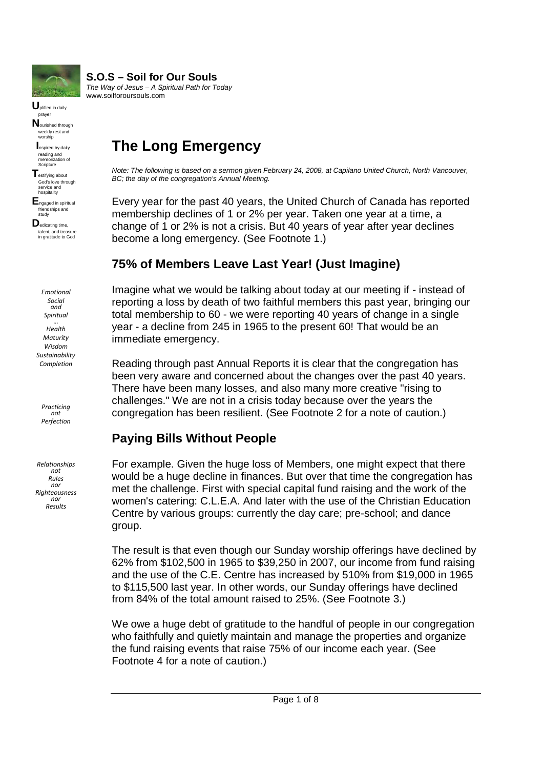

**U**plifted in daily prayer **N**ourished through weekly rest and

worship **I**nspired by daily reading and memorization of

Scripture **T**estifying about God's love through service and hospitality

**E**ngaged in spiritual friendships and study

**D**edicating time, talent, and treasure in gratitude to God

*Emotional Social and Spiritual … Health Maturity Wisdom Sustainability Completion*

*Practicing not Perfection*

*Relationships not Rules nor Righteousness nor Results*

# **The Long Emergency**

**S.O.S – Soil for Our Souls** *The Way of Jesus – A Spiritual Path for Today*

www.soilforoursouls.com

*Note: The following is based on a sermon given February 24, 2008, at Capilano United Church, North Vancouver, BC; the day of the congregation's Annual Meeting.*

Every year for the past 40 years, the United Church of Canada has reported membership declines of 1 or 2% per year. Taken one year at a time, a change of 1 or 2% is not a crisis. But 40 years of year after year declines become a long emergency. (See Footnote 1.)

### **75% of Members Leave Last Year! (Just Imagine)**

Imagine what we would be talking about today at our meeting if - instead of reporting a loss by death of two faithful members this past year, bringing our total membership to 60 - we were reporting 40 years of change in a single year - a decline from 245 in 1965 to the present 60! That would be an immediate emergency.

Reading through past Annual Reports it is clear that the congregation has been very aware and concerned about the changes over the past 40 years. There have been many losses, and also many more creative "rising to challenges." We are not in a crisis today because over the years the congregation has been resilient. (See Footnote 2 for a note of caution.)

### **Paying Bills Without People**

For example. Given the huge loss of Members, one might expect that there would be a huge decline in finances. But over that time the congregation has met the challenge. First with special capital fund raising and the work of the women's catering: C.L.E.A. And later with the use of the Christian Education Centre by various groups: currently the day care; pre-school; and dance group.

The result is that even though our Sunday worship offerings have declined by 62% from \$102,500 in 1965 to \$39,250 in 2007, our income from fund raising and the use of the C.E. Centre has increased by 510% from \$19,000 in 1965 to \$115,500 last year. In other words, our Sunday offerings have declined from 84% of the total amount raised to 25%. (See Footnote 3.)

We owe a huge debt of gratitude to the handful of people in our congregation who faithfully and quietly maintain and manage the properties and organize the fund raising events that raise 75% of our income each year. (See Footnote 4 for a note of caution.)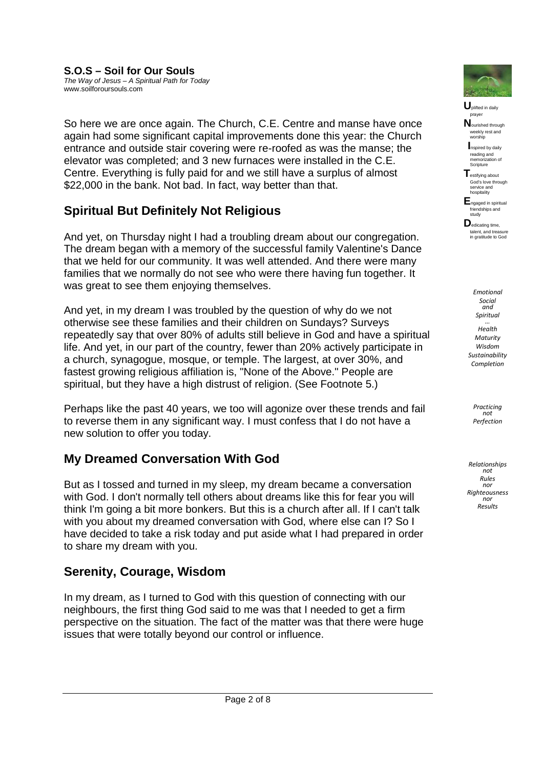So here we are once again. The Church, C.E. Centre and manse have once again had some significant capital improvements done this year: the Church entrance and outside stair covering were re-roofed as was the manse; the elevator was completed; and 3 new furnaces were installed in the C.E. Centre. Everything is fully paid for and we still have a surplus of almost \$22,000 in the bank. Not bad. In fact, way better than that.

## **Spiritual But Definitely Not Religious**

And yet, on Thursday night I had a troubling dream about our congregation. The dream began with a memory of the successful family Valentine's Dance that we held for our community. It was well attended. And there were many families that we normally do not see who were there having fun together. It was great to see them enjoying themselves.

And yet, in my dream I was troubled by the question of why do we not otherwise see these families and their children on Sundays? Surveys repeatedly say that over 80% of adults still believe in God and have a spiritual life. And yet, in our part of the country, fewer than 20% actively participate in a church, synagogue, mosque, or temple. The largest, at over 30%, and fastest growing religious affiliation is, "None of the Above." People are spiritual, but they have a high distrust of religion. (See Footnote 5.)

Perhaps like the past 40 years, we too will agonize over these trends and fail to reverse them in any significant way. I must confess that I do not have a new solution to offer you today.

### **My Dreamed Conversation With God**

But as I tossed and turned in my sleep, my dream became a conversation with God. I don't normally tell others about dreams like this for fear you will think I'm going a bit more bonkers. But this is a church after all. If I can't talk with you about my dreamed conversation with God, where else can I? So I have decided to take a risk today and put aside what I had prepared in order to share my dream with you.

### **Serenity, Courage, Wisdom**

In my dream, as I turned to God with this question of connecting with our neighbours, the first thing God said to me was that I needed to get a firm perspective on the situation. The fact of the matter was that there were huge issues that were totally beyond our control or influence.



**U**plifted in daily prayer

**N**ourished through weekly rest and worship

**I**nspired by daily reading and memorization of Scripture

**T**estifying about God's love through service and hospitality

**E**ngaged in spiritual friendships and study

**D**edicating time, talent, and treasure in gratitude to God

*Emotional Social and Spiritual … Health Maturity Wisdom Sustainability Completion*

> *Practicing not Perfection*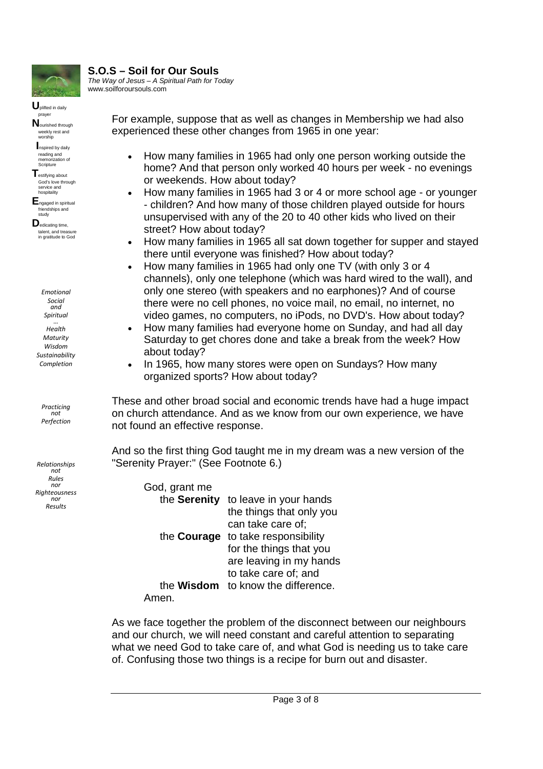

#### **S.O.S – Soil for Our Souls** *The Way of Jesus – A Spiritual Path for Today*

www.soilforoursouls.com

**U**plifted in daily prayer **N**ourished through weekly rest and

worship **I**nspired by daily reading and memorization of

**Scripture T**estifying about God's love through

service and hospitality **E**ngaged in spiritual friendships and

study **D**edicating time, talent, and treasure in gratitude to God

*Emotional Social and Spiritual … Health Maturity Wisdom Sustainability Completion*

*Practicing not Perfection*

*Relationships not Rules nor Righteousness nor Results*

For example, suppose that as well as changes in Membership we had also experienced these other changes from 1965 in one year:

- How many families in 1965 had only one person working outside the home? And that person only worked 40 hours per week - no evenings or weekends. How about today?
- How many families in 1965 had 3 or 4 or more school age or younger - children? And how many of those children played outside for hours unsupervised with any of the 20 to 40 other kids who lived on their street? How about today?
- How many families in 1965 all sat down together for supper and stayed there until everyone was finished? How about today?
- How many families in 1965 had only one TV (with only 3 or 4 channels), only one telephone (which was hard wired to the wall), and only one stereo (with speakers and no earphones)? And of course there were no cell phones, no voice mail, no email, no internet, no video games, no computers, no iPods, no DVD's. How about today?
- How many families had everyone home on Sunday, and had all day Saturday to get chores done and take a break from the week? How about today?
- In 1965, how many stores were open on Sundays? How many organized sports? How about today?

These and other broad social and economic trends have had a huge impact on church attendance. And as we know from our own experience, we have not found an effective response.

And so the first thing God taught me in my dream was a new version of the "Serenity Prayer:" (See Footnote 6.)

| God, grant me     |                          |
|-------------------|--------------------------|
| the Serenity      | to leave in your hands   |
|                   | the things that only you |
|                   | can take care of:        |
| the Courage       | to take responsibility   |
|                   | for the things that you  |
|                   | are leaving in my hands  |
|                   | to take care of; and     |
| the <b>Wisdom</b> | to know the difference.  |
|                   |                          |

As we face together the problem of the disconnect between our neighbours and our church, we will need constant and careful attention to separating what we need God to take care of, and what God is needing us to take care of. Confusing those two things is a recipe for burn out and disaster.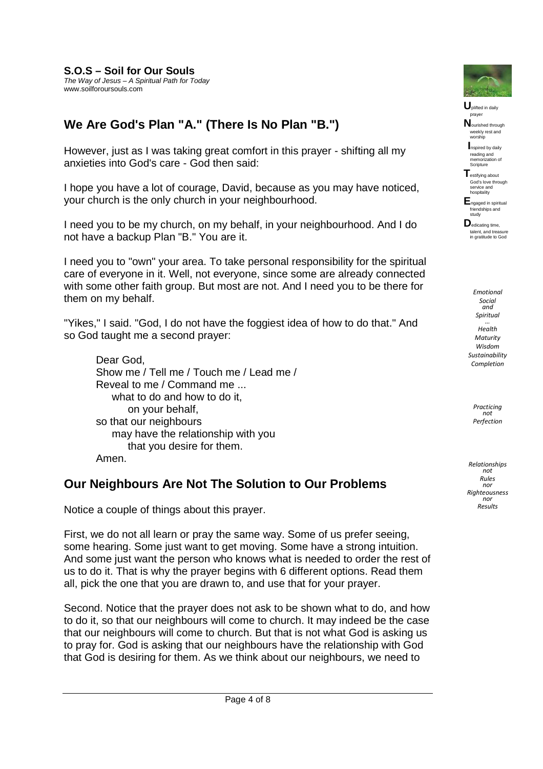### **We Are God's Plan "A." (There Is No Plan "B.")**

However, just as I was taking great comfort in this prayer - shifting all my anxieties into God's care - God then said:

I hope you have a lot of courage, David, because as you may have noticed, your church is the only church in your neighbourhood.

I need you to be my church, on my behalf, in your neighbourhood. And I do not have a backup Plan "B." You are it.

I need you to "own" your area. To take personal responsibility for the spiritual care of everyone in it. Well, not everyone, since some are already connected with some other faith group. But most are not. And I need you to be there for them on my behalf.

"Yikes," I said. "God, I do not have the foggiest idea of how to do that." And so God taught me a second prayer:

Dear God, Show me / Tell me / Touch me / Lead me / Reveal to me / Command me ... what to do and how to do it. on your behalf, so that our neighbours may have the relationship with you that you desire for them. Amen.

#### **Our Neighbours Are Not The Solution to Our Problems**

Notice a couple of things about this prayer.

First, we do not all learn or pray the same way. Some of us prefer seeing, some hearing. Some just want to get moving. Some have a strong intuition. And some just want the person who knows what is needed to order the rest of us to do it. That is why the prayer begins with 6 different options. Read them all, pick the one that you are drawn to, and use that for your prayer.

Second. Notice that the prayer does not ask to be shown what to do, and how to do it, so that our neighbours will come to church. It may indeed be the case that our neighbours will come to church. But that is not what God is asking us to pray for. God is asking that our neighbours have the relationship with God that God is desiring for them. As we think about our neighbours, we need to



**U**plifted in daily prayer

**N**ourished through weekly rest and worship

**I**nspired by daily reading and memorization of Scripture

**T**estifying about God's love through service and hospitality

**E**ngaged in spiritual friendships and study

**D**edicating time, talent, and treasure in gratitude to God

*Emotional Social and Spiritual … Health Maturity Wisdom Sustainability Completion*

> *Practicing not Perfection*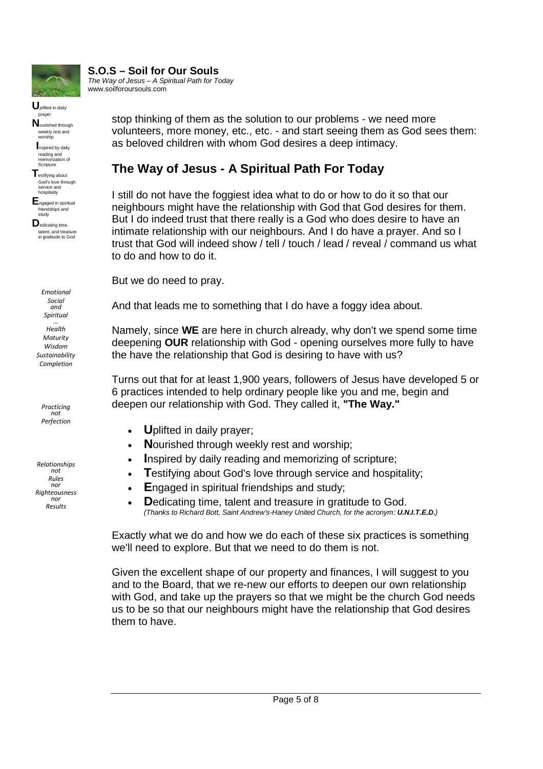

**U**plifted in daily prayer **N**ourished through weekly rest and worship **I**nspired by daily reading and memorization of **Scripture T**estifying about God's love through service and hospitality **E**ngaged in spiritual friendships and study **D**edicating time, talent, and treasure in gratitude to God

## **S.O.S – Soil for Our Souls**

*The Way of Jesus – A Spiritual Path for Today* www.soilforoursouls.com

> stop thinking of them as the solution to our problems - we need more volunteers, more money, etc., etc. - and start seeing them as God sees them: as beloved children with whom God desires a deep intimacy.

### **The Way of Jesus - A Spiritual Path For Today**

I still do not have the foggiest idea what to do or how to do it so that our neighbours might have the relationship with God that God desires for them. But I do indeed trust that there really is a God who does desire to have an intimate relationship with our neighbours. And I do have a prayer. And so I trust that God will indeed show / tell / touch / lead / reveal / command us what to do and how to do it.

But we do need to pray.

And that leads me to something that I do have a foggy idea about.

Namely, since **WE** are here in church already, why don't we spend some time deepening **OUR** relationship with God - opening ourselves more fully to have the have the relationship that God is desiring to have with us?

Turns out that for at least 1,900 years, followers of Jesus have developed 5 or 6 practices intended to help ordinary people like you and me, begin and deepen our relationship with God. They called it, **"The Way."**

- **U**plifted in daily prayer;
- Nourished through weekly rest and worship;
- **I**nspired by daily reading and memorizing of scripture;
- **T**estifying about God's love through service and hospitality;
- **E**ngaged in spiritual friendships and study;
- **D**edicating time, talent and treasure in gratitude to God. *(Thanks to Richard Bott, Saint Andrew's-Haney United Church, for the acronym: U.N.I.T.E.D.)*

Exactly what we do and how we do each of these six practices is something we'll need to explore. But that we need to do them is not.

Given the excellent shape of our property and finances, I will suggest to you and to the Board, that we re-new our efforts to deepen our own relationship with God, and take up the prayers so that we might be the church God needs us to be so that our neighbours might have the relationship that God desires them to have.

*Emotional Social and Spiritual … Health Maturity Wisdom Sustainability Completion*

*Practicing not Perfection*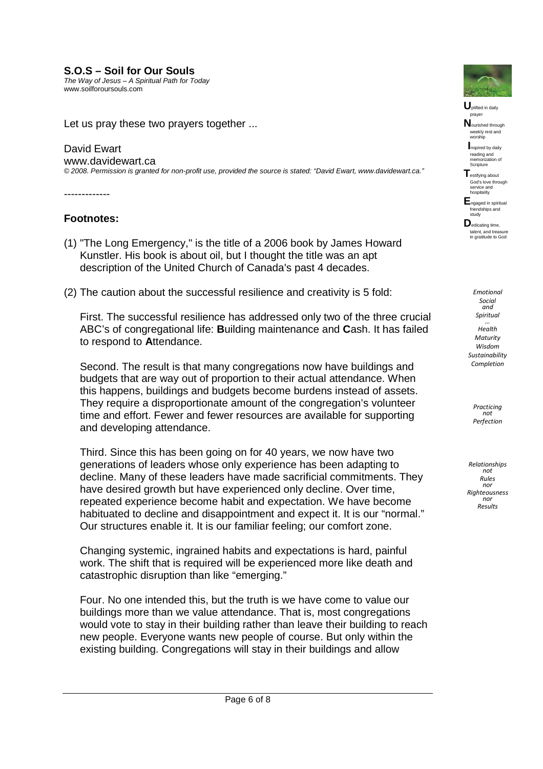#### **S.O.S – Soil for Our Souls**

*The Way of Jesus – A Spiritual Path for Today* www.soilforoursouls.com

Let us pray these two prayers together ...

#### David Ewart

www.davidewart.ca *© 2008. Permission is granted for non-profit use, provided the source is stated: "David Ewart, www.davidewart.ca."*

-------------

#### **Footnotes:**

- (1) "The Long Emergency," is the title of a 2006 book by James Howard Kunstler. His book is about oil, but I thought the title was an apt description of the United Church of Canada's past 4 decades.
- (2) The caution about the successful resilience and creativity is 5 fold:

First. The successful resilience has addressed only two of the three crucial ABC's of congregational life: **B**uilding maintenance and **C**ash. It has failed to respond to **A**ttendance.

Second. The result is that many congregations now have buildings and budgets that are way out of proportion to their actual attendance. When this happens, buildings and budgets become burdens instead of assets. They require a disproportionate amount of the congregation's volunteer time and effort. Fewer and fewer resources are available for supporting and developing attendance.

Third. Since this has been going on for 40 years, we now have two generations of leaders whose only experience has been adapting to decline. Many of these leaders have made sacrificial commitments. They have desired growth but have experienced only decline. Over time, repeated experience become habit and expectation. We have become habituated to decline and disappointment and expect it. It is our "normal." Our structures enable it. It is our familiar feeling; our comfort zone.

Changing systemic, ingrained habits and expectations is hard, painful work. The shift that is required will be experienced more like death and catastrophic disruption than like "emerging."

Four. No one intended this, but the truth is we have come to value our buildings more than we value attendance. That is, most congregations would vote to stay in their building rather than leave their building to reach new people. Everyone wants new people of course. But only within the existing building. Congregations will stay in their buildings and allow



**U**plifted in daily prayer

**N**ourished through weekly rest and worship

**I**nspired by daily reading and memorization of Scripture

**T**estifying about God's love through service and hospitality

**E**ngaged in spiritual friendships and study

**D**edicating time, talent, and treasure in gratitude to God

*Emotional Social and Spiritual … Health Maturity Wisdom Sustainability Completion*

> *Practicing not Perfection*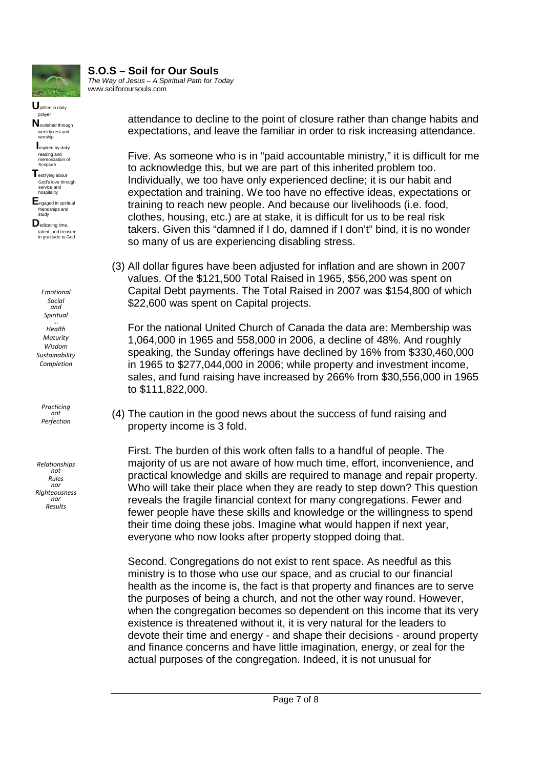

**U**plifted in daily prayer **N**ourished through weekly rest and worship **I**nspired by daily reading and memorization of Scripture **T**estifying about God's love through service and hospitality **E**ngaged in spiritual friendships and study **D**edicating time, talent, and treasure in gratitude to God

#### **S.O.S – Soil for Our Souls** *The Way of Jesus – A Spiritual Path for Today*

www.soilforoursouls.com

attendance to decline to the point of closure rather than change habits and expectations, and leave the familiar in order to risk increasing attendance.

Five. As someone who is in "paid accountable ministry," it is difficult for me to acknowledge this, but we are part of this inherited problem too. Individually, we too have only experienced decline; it is our habit and expectation and training. We too have no effective ideas, expectations or training to reach new people. And because our livelihoods (i.e. food, clothes, housing, etc.) are at stake, it is difficult for us to be real risk takers. Given this "damned if I do, damned if I don't" bind, it is no wonder so many of us are experiencing disabling stress.

(3) All dollar figures have been adjusted for inflation and are shown in 2007 values. Of the \$121,500 Total Raised in 1965, \$56,200 was spent on Capital Debt payments. The Total Raised in 2007 was \$154,800 of which \$22,600 was spent on Capital projects.

For the national United Church of Canada the data are: Membership was 1,064,000 in 1965 and 558,000 in 2006, a decline of 48%. And roughly speaking, the Sunday offerings have declined by 16% from \$330,460,000 in 1965 to \$277,044,000 in 2006; while property and investment income, sales, and fund raising have increased by 266% from \$30,556,000 in 1965 to \$111,822,000.

(4) The caution in the good news about the success of fund raising and property income is 3 fold.

First. The burden of this work often falls to a handful of people. The majority of us are not aware of how much time, effort, inconvenience, and practical knowledge and skills are required to manage and repair property. Who will take their place when they are ready to step down? This question reveals the fragile financial context for many congregations. Fewer and fewer people have these skills and knowledge or the willingness to spend their time doing these jobs. Imagine what would happen if next year, everyone who now looks after property stopped doing that.

Second. Congregations do not exist to rent space. As needful as this ministry is to those who use our space, and as crucial to our financial health as the income is, the fact is that property and finances are to serve the purposes of being a church, and not the other way round. However, when the congregation becomes so dependent on this income that its very existence is threatened without it, it is very natural for the leaders to devote their time and energy - and shape their decisions - around property and finance concerns and have little imagination, energy, or zeal for the actual purposes of the congregation. Indeed, it is not unusual for

*Emotional Social and Spiritual … Health Maturity Wisdom Sustainability Completion*

*Practicing not Perfection*